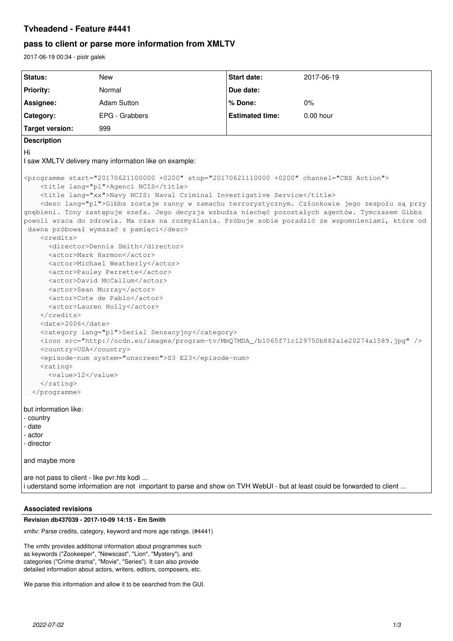## **Tvheadend - Feature #4441**

# **pass to client or parse more information from XMLTV**

2017-06-19 00:34 - piotr galek

| Status:                                                                                                                                                                                                                                                                                                                                                                                                                                                                                                                                                                                                                                                                                                                                                                                                                                                                                                                                                                                                                                                                                                                                                                                                                                                                                             | <b>New</b>         | Start date:            | 2017-06-19 |
|-----------------------------------------------------------------------------------------------------------------------------------------------------------------------------------------------------------------------------------------------------------------------------------------------------------------------------------------------------------------------------------------------------------------------------------------------------------------------------------------------------------------------------------------------------------------------------------------------------------------------------------------------------------------------------------------------------------------------------------------------------------------------------------------------------------------------------------------------------------------------------------------------------------------------------------------------------------------------------------------------------------------------------------------------------------------------------------------------------------------------------------------------------------------------------------------------------------------------------------------------------------------------------------------------------|--------------------|------------------------|------------|
| <b>Priority:</b>                                                                                                                                                                                                                                                                                                                                                                                                                                                                                                                                                                                                                                                                                                                                                                                                                                                                                                                                                                                                                                                                                                                                                                                                                                                                                    | Normal             | Due date:              |            |
| Assignee:                                                                                                                                                                                                                                                                                                                                                                                                                                                                                                                                                                                                                                                                                                                                                                                                                                                                                                                                                                                                                                                                                                                                                                                                                                                                                           | <b>Adam Sutton</b> | % Done:                | 0%         |
| Category:                                                                                                                                                                                                                                                                                                                                                                                                                                                                                                                                                                                                                                                                                                                                                                                                                                                                                                                                                                                                                                                                                                                                                                                                                                                                                           | EPG - Grabbers     | <b>Estimated time:</b> | 0.00 hour  |
|                                                                                                                                                                                                                                                                                                                                                                                                                                                                                                                                                                                                                                                                                                                                                                                                                                                                                                                                                                                                                                                                                                                                                                                                                                                                                                     |                    |                        |            |
| <b>Target version:</b>                                                                                                                                                                                                                                                                                                                                                                                                                                                                                                                                                                                                                                                                                                                                                                                                                                                                                                                                                                                                                                                                                                                                                                                                                                                                              | 999                |                        |            |
| <b>Description</b>                                                                                                                                                                                                                                                                                                                                                                                                                                                                                                                                                                                                                                                                                                                                                                                                                                                                                                                                                                                                                                                                                                                                                                                                                                                                                  |                    |                        |            |
| Hi                                                                                                                                                                                                                                                                                                                                                                                                                                                                                                                                                                                                                                                                                                                                                                                                                                                                                                                                                                                                                                                                                                                                                                                                                                                                                                  |                    |                        |            |
| I saw XMLTV delivery many information like on example:                                                                                                                                                                                                                                                                                                                                                                                                                                                                                                                                                                                                                                                                                                                                                                                                                                                                                                                                                                                                                                                                                                                                                                                                                                              |                    |                        |            |
| <programme channel="CBS Action" start="20170621100000 +0200" stop="20170621110000 +0200"><br/><title lang="pl">Agenci NCIS</title><br/><title lang="xx">Navy NCIS: Naval Criminal Investigative Service</title><br/><desc lang="pl">Gibbs zostaje ranny w zamachu terrorystycznym. Członkowie jego zespołu są przy<br/>gnębieni. Tony zastępuje szefa. Jego decyzja wzbudza niechęć pozostałych agentów. Tymczasem Gibbs<br/>powoli wraca do zdrowia. Ma czas na rozmyślania. Próbuje sobie poradzić ze wspomnieniami, które od<br/>dawna próbował wymazać z pamięci</desc><br/><credits><br/><director>Dennis Smith</director><br/><actor>Mark Harmon</actor><br/><actor>Michael Weatherly</actor><br/><actor>Pauley Perrette</actor><br/><actor>David McCallum</actor><br/><actor>Sean Murray</actor><br/><actor>Cote de Pablo</actor><br/><actor>Lauren Holly</actor><br/></credits><br/><date>2006</date><br/><category lang="pl">Serial Sensacyjny</category><br/><icon src="http://ocdn.eu/images/program-tv/MmQ7MDA_/b1065f71c129750b882a1e20274a1589.jpg"></icon><br/><country>USA</country><br/><episode-num system="onscreen">S3 E23</episode-num><br/><math>&lt;</math>rating&gt;<br/><value>12</value><br/><br/></programme><br>but information like:<br>- country<br>- date<br>- actor |                    |                        |            |
| - director                                                                                                                                                                                                                                                                                                                                                                                                                                                                                                                                                                                                                                                                                                                                                                                                                                                                                                                                                                                                                                                                                                                                                                                                                                                                                          |                    |                        |            |
|                                                                                                                                                                                                                                                                                                                                                                                                                                                                                                                                                                                                                                                                                                                                                                                                                                                                                                                                                                                                                                                                                                                                                                                                                                                                                                     |                    |                        |            |
| and maybe more                                                                                                                                                                                                                                                                                                                                                                                                                                                                                                                                                                                                                                                                                                                                                                                                                                                                                                                                                                                                                                                                                                                                                                                                                                                                                      |                    |                        |            |
| are not pass to client - like pvr.hts kodi<br>i uderstand some information are not important to parse and show on TVH WebUI - but at least could be forwarded to client                                                                                                                                                                                                                                                                                                                                                                                                                                                                                                                                                                                                                                                                                                                                                                                                                                                                                                                                                                                                                                                                                                                             |                    |                        |            |

### **Associated revisions**

**Revision db437039 - 2017-10-09 14:15 - Em Smith**

xmltv: Parse credits, category, keyword and more age ratings. (#4441)

The xmltv provides additional information about programmes such as keywords ("Zookeeper", "Newscast", "Lion", "Mystery"), and categories ("Crime drama", "Movie", "Series"). It can also provide detailed information about actors, writers, editors, composers, etc.

We parse this information and allow it to be searched from the GUI.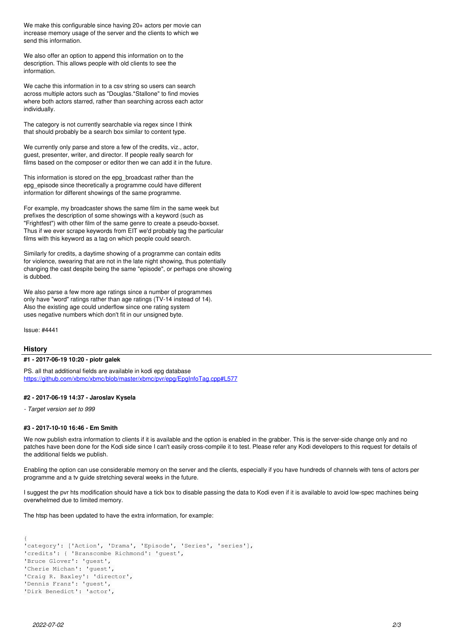We make this configurable since having 20+ actors per movie can increase memory usage of the server and the clients to which we send this information.

We also offer an option to append this information on to the description. This allows people with old clients to see the information.

We cache this information in to a csv string so users can search across multiple actors such as "Douglas.\*Stallone" to find movies where both actors starred, rather than searching across each actor individually.

The category is not currently searchable via regex since I think that should probably be a search box similar to content type.

We currently only parse and store a few of the credits, viz., actor, guest, presenter, writer, and director. If people really search for films based on the composer or editor then we can add it in the future.

This information is stored on the epg\_broadcast rather than the epg\_episode since theoretically a programme could have different information for different showings of the same programme.

For example, my broadcaster shows the same film in the same week but prefixes the description of some showings with a keyword (such as "Frightfest") with other film of the same genre to create a pseudo-boxset. Thus if we ever scrape keywords from EIT we'd probably tag the particular films with this keyword as a tag on which people could search.

Similarly for credits, a daytime showing of a programme can contain edits for violence, swearing that are not in the late night showing, thus potentially changing the cast despite being the same "episode", or perhaps one showing is dubbed.

We also parse a few more age ratings since a number of programmes only have "word" ratings rather than age ratings (TV-14 instead of 14). Also the existing age could underflow since one rating system uses negative numbers which don't fit in our unsigned byte.

Issue: #4441

#### **History**

#### **#1 - 2017-06-19 10:20 - piotr galek**

PS. all that additional fields are available in kodi epg database <https://github.com/xbmc/xbmc/blob/master/xbmc/pvr/epg/EpgInfoTag.cpp#L577>

#### **#2 - 2017-06-19 14:37 - Jaroslav Kysela**

*- Target version set to 999*

#### **#3 - 2017-10-10 16:46 - Em Smith**

We now publish extra information to clients if it is available and the option is enabled in the grabber. This is the server-side change only and no patches have been done for the Kodi side since I can't easily cross-compile it to test. Please refer any Kodi developers to this request for details of the additional fields we publish.

Enabling the option can use considerable memory on the server and the clients, especially if you have hundreds of channels with tens of actors per programme and a tv guide stretching several weeks in the future.

I suggest the pvr hts modification should have a tick box to disable passing the data to Kodi even if it is available to avoid low-spec machines being overwhelmed due to limited memory.

The htsp has been updated to have the extra information, for example:

```
{
'category': ['Action', 'Drama', 'Episode', 'Series', 'series'],
'credits': { 'Branscombe Richmond': 'guest',
'Bruce Glover': 'guest',
'Cherie Michan': 'guest',
'Craig R. Baxley': 'director',
'Dennis Franz': 'guest',
'Dirk Benedict': 'actor',
```